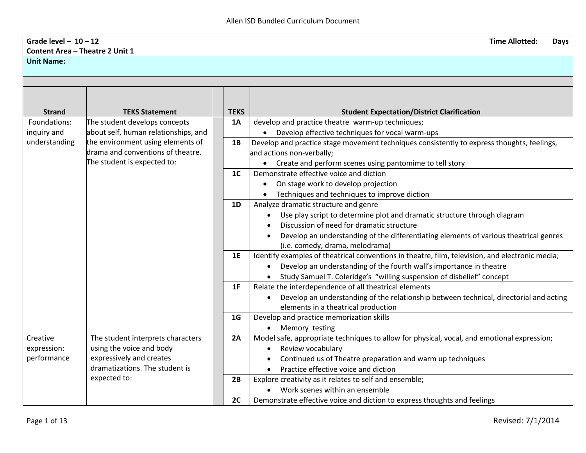## **Grade level – 10 – 12 Time Allotted: Days Content Area – Theatre 2 Unit 1 Unit Name:**

| <b>Strand</b> | <b>TEKS Statement</b>                | <b>TEKS</b>    | <b>Student Expectation/District Clarification</b>                                               |
|---------------|--------------------------------------|----------------|-------------------------------------------------------------------------------------------------|
| Foundations:  | The student develops concepts        | 1A             | develop and practice theatre warm-up techniques;                                                |
| inquiry and   | about self, human relationships, and |                | • Develop effective techniques for vocal warm-ups                                               |
| understanding | the environment using elements of    | 1B             | Develop and practice stage movement techniques consistently to express thoughts, feelings,      |
|               | drama and conventions of theatre.    |                | and actions non-verbally;                                                                       |
|               | The student is expected to:          |                | Create and perform scenes using pantomime to tell story                                         |
|               |                                      | 1 <sup>C</sup> | Demonstrate effective voice and diction                                                         |
|               |                                      |                | On stage work to develop projection                                                             |
|               |                                      |                | Techniques and techniques to improve diction                                                    |
|               |                                      | 1D             | Analyze dramatic structure and genre                                                            |
|               |                                      |                | Use play script to determine plot and dramatic structure through diagram                        |
|               |                                      |                | Discussion of need for dramatic structure                                                       |
|               |                                      |                | Develop an understanding of the differentiating elements of various theatrical genres           |
|               |                                      |                | (i.e. comedy, drama, melodrama)                                                                 |
|               |                                      | 1E             | Identify examples of theatrical conventions in theatre, film, television, and electronic media; |
|               |                                      |                | Develop an understanding of the fourth wall's importance in theatre                             |
|               |                                      |                | Study Samuel T. Coleridge's "willing suspension of disbelief" concept                           |
|               |                                      | 1F             | Relate the interdependence of all theatrical elements                                           |
|               |                                      |                | Develop an understanding of the relationship between technical, directorial and acting          |
|               |                                      |                | elements in a theatrical production                                                             |
|               |                                      | 1 <sub>G</sub> | Develop and practice memorization skills                                                        |
|               |                                      |                | Memory testing<br>$\bullet$                                                                     |
| Creative      | The student interprets characters    | 2A             | Model safe, appropriate techniques to allow for physical, vocal, and emotional expression;      |
| expression:   | using the voice and body             |                | Review vocabulary<br>٠                                                                          |
| performance   | expressively and creates             |                | Continued us of Theatre preparation and warm up techniques                                      |
|               | dramatizations. The student is       |                | Practice effective voice and diction                                                            |
|               | expected to:                         | 2B             | Explore creativity as it relates to self and ensemble;                                          |
|               |                                      |                | Work scenes within an ensemble                                                                  |
|               |                                      | 2C             | Demonstrate effective voice and diction to express thoughts and feelings                        |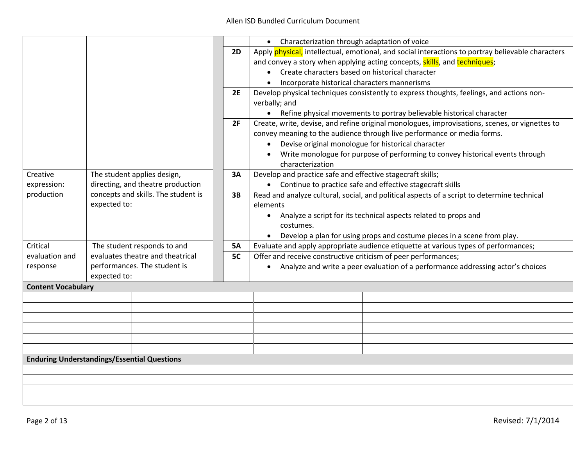|                                                    |                                  |                                     |           | • Characterization through adaptation of voice                                                    |  |  |
|----------------------------------------------------|----------------------------------|-------------------------------------|-----------|---------------------------------------------------------------------------------------------------|--|--|
|                                                    |                                  |                                     | <b>2D</b> | Apply physical, intellectual, emotional, and social interactions to portray believable characters |  |  |
|                                                    |                                  |                                     |           | and convey a story when applying acting concepts, skills, and techniques;                         |  |  |
|                                                    |                                  |                                     |           | • Create characters based on historical character                                                 |  |  |
|                                                    |                                  |                                     |           | Incorporate historical characters mannerisms                                                      |  |  |
|                                                    |                                  |                                     | <b>2E</b> | Develop physical techniques consistently to express thoughts, feelings, and actions non-          |  |  |
|                                                    |                                  |                                     |           | verbally; and                                                                                     |  |  |
|                                                    |                                  |                                     |           | • Refine physical movements to portray believable historical character                            |  |  |
|                                                    |                                  |                                     | 2F        | Create, write, devise, and refine original monologues, improvisations, scenes, or vignettes to    |  |  |
|                                                    |                                  |                                     |           | convey meaning to the audience through live performance or media forms.                           |  |  |
|                                                    |                                  |                                     |           | Devise original monologue for historical character<br>$\bullet$                                   |  |  |
|                                                    |                                  |                                     |           | Write monologue for purpose of performing to convey historical events through                     |  |  |
|                                                    |                                  |                                     |           | characterization                                                                                  |  |  |
| Creative                                           |                                  | The student applies design,         | 3A        | Develop and practice safe and effective stagecraft skills;                                        |  |  |
| expression:                                        |                                  | directing, and theatre production   |           | • Continue to practice safe and effective stagecraft skills                                       |  |  |
| production                                         |                                  | concepts and skills. The student is | 3B        | Read and analyze cultural, social, and political aspects of a script to determine technical       |  |  |
|                                                    | expected to:                     |                                     |           | elements                                                                                          |  |  |
|                                                    |                                  |                                     |           | Analyze a script for its technical aspects related to props and                                   |  |  |
|                                                    |                                  |                                     |           | $\bullet$<br>costumes.                                                                            |  |  |
|                                                    |                                  |                                     |           |                                                                                                   |  |  |
|                                                    |                                  |                                     |           | Develop a plan for using props and costume pieces in a scene from play.                           |  |  |
| Critical                                           | The student responds to and      |                                     | <b>5A</b> | Evaluate and apply appropriate audience etiquette at various types of performances;               |  |  |
| evaluation and                                     | evaluates theatre and theatrical |                                     | <b>5C</b> | Offer and receive constructive criticism of peer performances;                                    |  |  |
| response                                           |                                  | performances. The student is        |           | • Analyze and write a peer evaluation of a performance addressing actor's choices                 |  |  |
|                                                    | expected to:                     |                                     |           |                                                                                                   |  |  |
| <b>Content Vocabulary</b>                          |                                  |                                     |           |                                                                                                   |  |  |
|                                                    |                                  |                                     |           |                                                                                                   |  |  |
|                                                    |                                  |                                     |           |                                                                                                   |  |  |
|                                                    |                                  |                                     |           |                                                                                                   |  |  |
|                                                    |                                  |                                     |           |                                                                                                   |  |  |
|                                                    |                                  |                                     |           |                                                                                                   |  |  |
|                                                    |                                  |                                     |           |                                                                                                   |  |  |
| <b>Enduring Understandings/Essential Questions</b> |                                  |                                     |           |                                                                                                   |  |  |
|                                                    |                                  |                                     |           |                                                                                                   |  |  |
|                                                    |                                  |                                     |           |                                                                                                   |  |  |
|                                                    |                                  |                                     |           |                                                                                                   |  |  |
|                                                    |                                  |                                     |           |                                                                                                   |  |  |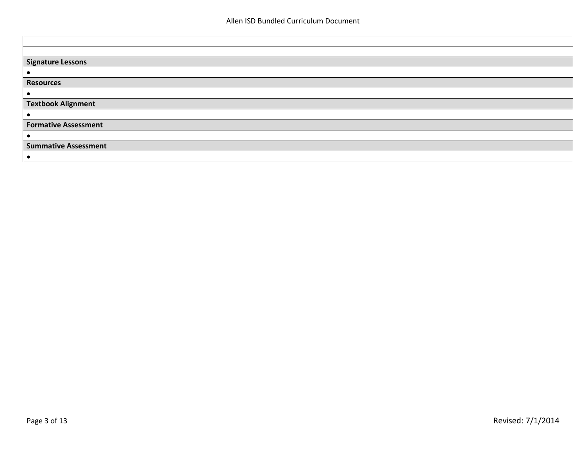| <b>Signature Lessons</b>    |
|-----------------------------|
|                             |
| <b>Resources</b>            |
|                             |
| <b>Textbook Alignment</b>   |
| $\bullet$                   |
| <b>Formative Assessment</b> |
|                             |
| <b>Summative Assessment</b> |
|                             |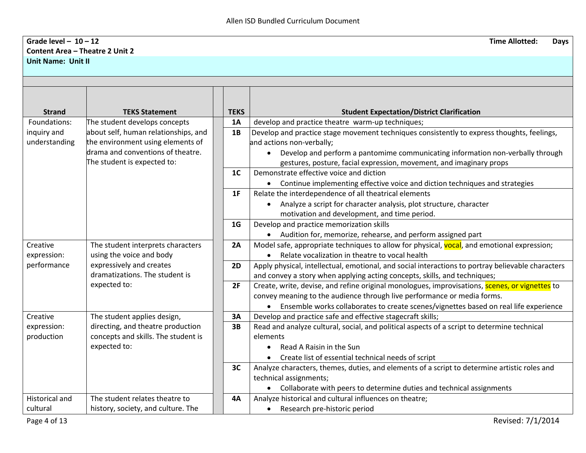## **Grade level – 10 – 12 Time Allotted: Days Content Area – Theatre 2 Unit 2 Unit Name: Unit II**

| <b>Strand</b><br>Foundations: | <b>TEKS Statement</b>                                                 | <b>TEKS</b>    | <b>Student Expectation/District Clarification</b>                                                                       |
|-------------------------------|-----------------------------------------------------------------------|----------------|-------------------------------------------------------------------------------------------------------------------------|
|                               | The student develops concepts<br>about self, human relationships, and | 1A<br>1B       | develop and practice theatre warm-up techniques;                                                                        |
| inquiry and<br>understanding  | the environment using elements of                                     |                | Develop and practice stage movement techniques consistently to express thoughts, feelings,<br>and actions non-verbally; |
|                               | drama and conventions of theatre.                                     |                | Develop and perform a pantomime communicating information non-verbally through                                          |
|                               | The student is expected to:                                           |                | gestures, posture, facial expression, movement, and imaginary props                                                     |
|                               |                                                                       | 1 <sup>C</sup> | Demonstrate effective voice and diction                                                                                 |
|                               |                                                                       |                | Continue implementing effective voice and diction techniques and strategies                                             |
|                               |                                                                       | 1F             | Relate the interdependence of all theatrical elements                                                                   |
|                               |                                                                       |                | Analyze a script for character analysis, plot structure, character<br>$\bullet$                                         |
|                               |                                                                       |                | motivation and development, and time period.                                                                            |
|                               |                                                                       | 1 <sub>G</sub> | Develop and practice memorization skills                                                                                |
|                               |                                                                       |                | Audition for, memorize, rehearse, and perform assigned part                                                             |
| Creative                      | The student interprets characters                                     | 2A             | Model safe, appropriate techniques to allow for physical, vocal, and emotional expression;                              |
| expression:                   | using the voice and body                                              |                | Relate vocalization in theatre to vocal health                                                                          |
| performance                   | expressively and creates                                              | 2D             | Apply physical, intellectual, emotional, and social interactions to portray believable characters                       |
|                               | dramatizations. The student is                                        |                | and convey a story when applying acting concepts, skills, and techniques;                                               |
|                               | expected to:                                                          | 2F             | Create, write, devise, and refine original monologues, improvisations, scenes, or vignettes to                          |
|                               |                                                                       |                | convey meaning to the audience through live performance or media forms.                                                 |
|                               |                                                                       |                | Ensemble works collaborates to create scenes/vignettes based on real life experience                                    |
| Creative                      | The student applies design,                                           | 3A             | Develop and practice safe and effective stagecraft skills;                                                              |
| expression:                   | directing, and theatre production                                     | 3B             | Read and analyze cultural, social, and political aspects of a script to determine technical                             |
| production                    | concepts and skills. The student is                                   |                | elements                                                                                                                |
|                               | expected to:                                                          |                | Read A Raisin in the Sun                                                                                                |
|                               |                                                                       |                | Create list of essential technical needs of script                                                                      |
|                               |                                                                       | 3C             | Analyze characters, themes, duties, and elements of a script to determine artistic roles and                            |
|                               |                                                                       |                | technical assignments;                                                                                                  |
|                               |                                                                       |                | Collaborate with peers to determine duties and technical assignments                                                    |
| <b>Historical and</b>         | The student relates theatre to                                        | <b>4A</b>      | Analyze historical and cultural influences on theatre;                                                                  |
| cultural                      | history, society, and culture. The                                    |                | Research pre-historic period<br>$\bullet$                                                                               |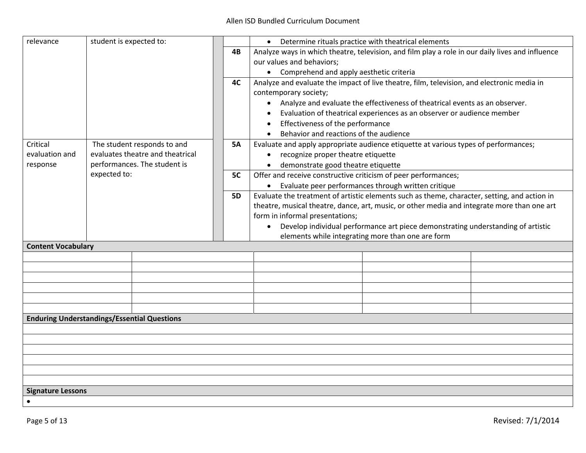| relevance                 | student is expected to:                            |           | Determine rituals practice with theatrical elements                                              |
|---------------------------|----------------------------------------------------|-----------|--------------------------------------------------------------------------------------------------|
|                           |                                                    | 4B        | Analyze ways in which theatre, television, and film play a role in our daily lives and influence |
|                           |                                                    |           | our values and behaviors;                                                                        |
|                           |                                                    |           | • Comprehend and apply aesthetic criteria                                                        |
|                           |                                                    | 4C        | Analyze and evaluate the impact of live theatre, film, television, and electronic media in       |
|                           |                                                    |           | contemporary society;                                                                            |
|                           |                                                    |           | • Analyze and evaluate the effectiveness of theatrical events as an observer.                    |
|                           |                                                    |           | Evaluation of theatrical experiences as an observer or audience member                           |
|                           |                                                    |           | Effectiveness of the performance                                                                 |
|                           |                                                    |           | Behavior and reactions of the audience                                                           |
| Critical                  | The student responds to and                        | <b>5A</b> | Evaluate and apply appropriate audience etiquette at various types of performances;              |
| evaluation and            | evaluates theatre and theatrical                   |           | recognize proper theatre etiquette<br>$\bullet$                                                  |
| response                  | performances. The student is                       |           | demonstrate good theatre etiquette                                                               |
|                           | expected to:                                       | 5C        | Offer and receive constructive criticism of peer performances;                                   |
|                           |                                                    |           | • Evaluate peer performances through written critique                                            |
|                           |                                                    | <b>5D</b> | Evaluate the treatment of artistic elements such as theme, character, setting, and action in     |
|                           |                                                    |           | theatre, musical theatre, dance, art, music, or other media and integrate more than one art      |
|                           |                                                    |           | form in informal presentations;                                                                  |
|                           |                                                    |           | • Develop individual performance art piece demonstrating understanding of artistic               |
|                           |                                                    |           | elements while integrating more than one are form                                                |
| <b>Content Vocabulary</b> |                                                    |           |                                                                                                  |
|                           |                                                    |           |                                                                                                  |
|                           |                                                    |           |                                                                                                  |
|                           |                                                    |           |                                                                                                  |
|                           |                                                    |           |                                                                                                  |
|                           |                                                    |           |                                                                                                  |
|                           |                                                    |           |                                                                                                  |
|                           | <b>Enduring Understandings/Essential Questions</b> |           |                                                                                                  |
|                           |                                                    |           |                                                                                                  |
|                           |                                                    |           |                                                                                                  |
|                           |                                                    |           |                                                                                                  |
|                           |                                                    |           |                                                                                                  |
|                           |                                                    |           |                                                                                                  |
|                           |                                                    |           |                                                                                                  |
| <b>Signature Lessons</b>  |                                                    |           |                                                                                                  |
|                           |                                                    |           |                                                                                                  |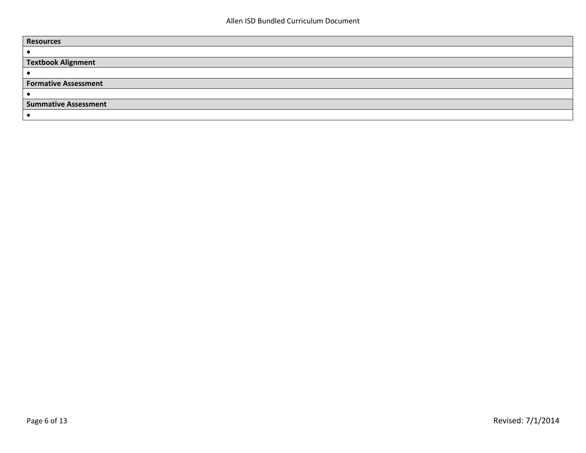| <b>Resources</b>            |
|-----------------------------|
|                             |
| <b>Textbook Alignment</b>   |
|                             |
| <b>Formative Assessment</b> |
|                             |
| <b>Summative Assessment</b> |
|                             |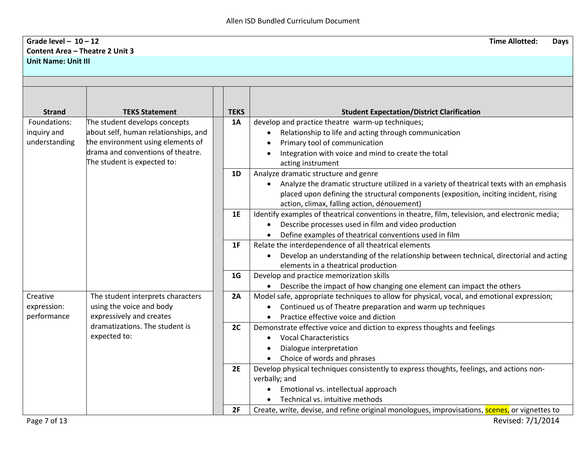## **Grade level – 10 – 12 Time Allotted: Days Content Area – Theatre 2 Unit 3 Unit Name: Unit III**

| <b>Strand</b> | <b>TEKS Statement</b>                | <b>TEKS</b> | <b>Student Expectation/District Clarification</b>                                                               |  |
|---------------|--------------------------------------|-------------|-----------------------------------------------------------------------------------------------------------------|--|
| Foundations:  | The student develops concepts        | 1A          | develop and practice theatre warm-up techniques;                                                                |  |
| inquiry and   | about self, human relationships, and |             | Relationship to life and acting through communication<br>$\bullet$                                              |  |
| understanding | the environment using elements of    |             | Primary tool of communication                                                                                   |  |
|               | drama and conventions of theatre.    |             | Integration with voice and mind to create the total                                                             |  |
|               | The student is expected to:          |             | acting instrument                                                                                               |  |
|               |                                      | 1D          | Analyze dramatic structure and genre                                                                            |  |
|               |                                      |             | Analyze the dramatic structure utilized in a variety of theatrical texts with an emphasis                       |  |
|               |                                      |             | placed upon defining the structural components (exposition, inciting incident, rising                           |  |
|               |                                      |             | action, climax, falling action, dénouement)                                                                     |  |
|               |                                      | 1E          | Identify examples of theatrical conventions in theatre, film, television, and electronic media;                 |  |
|               |                                      |             | Describe processes used in film and video production<br>$\bullet$                                               |  |
|               |                                      | 1F          | Define examples of theatrical conventions used in film<br>Relate the interdependence of all theatrical elements |  |
|               |                                      |             | Develop an understanding of the relationship between technical, directorial and acting                          |  |
|               |                                      |             | elements in a theatrical production                                                                             |  |
|               |                                      | 1G          | Develop and practice memorization skills                                                                        |  |
|               |                                      |             | • Describe the impact of how changing one element can impact the others                                         |  |
| Creative      | The student interprets characters    | 2A          | Model safe, appropriate techniques to allow for physical, vocal, and emotional expression;                      |  |
| expression:   | using the voice and body             |             | Continued us of Theatre preparation and warm up techniques                                                      |  |
| performance   | expressively and creates             |             | Practice effective voice and diction                                                                            |  |
|               | dramatizations. The student is       | 2C          | Demonstrate effective voice and diction to express thoughts and feelings                                        |  |
|               | expected to:                         |             | <b>Vocal Characteristics</b><br>٠                                                                               |  |
|               |                                      |             | Dialogue interpretation                                                                                         |  |
|               |                                      |             | Choice of words and phrases                                                                                     |  |
|               |                                      | 2E          | Develop physical techniques consistently to express thoughts, feelings, and actions non-<br>verbally; and       |  |
|               |                                      |             | Emotional vs. intellectual approach                                                                             |  |
|               |                                      |             | Technical vs. intuitive methods                                                                                 |  |
|               |                                      | 2F          | Create, write, devise, and refine original monologues, improvisations, scenes, or vignettes to                  |  |
| Page 7 of 13  |                                      |             | Revised: 7/1/2014                                                                                               |  |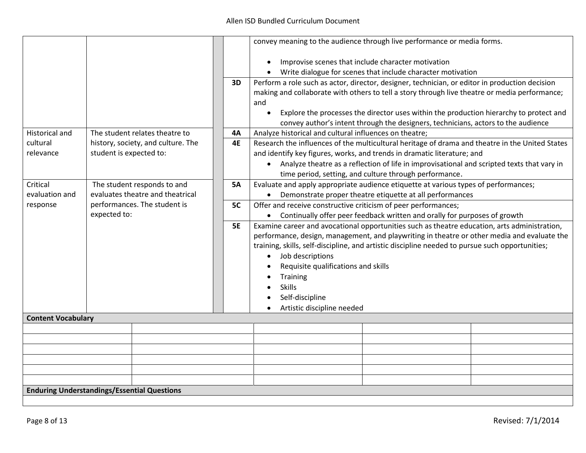|                                                    |                              |                                    |           | convey meaning to the audience through live performance or media forms.                                                                                                                                             |                                                                                            |  |
|----------------------------------------------------|------------------------------|------------------------------------|-----------|---------------------------------------------------------------------------------------------------------------------------------------------------------------------------------------------------------------------|--------------------------------------------------------------------------------------------|--|
|                                                    |                              |                                    |           | $\bullet$                                                                                                                                                                                                           | Improvise scenes that include character motivation                                         |  |
|                                                    |                              |                                    |           |                                                                                                                                                                                                                     | Write dialogue for scenes that include character motivation                                |  |
|                                                    |                              |                                    | 3D        | Perform a role such as actor, director, designer, technician, or editor in production decision<br>making and collaborate with others to tell a story through live theatre or media performance;<br>and<br>$\bullet$ | Explore the processes the director uses within the production hierarchy to protect and     |  |
|                                                    |                              |                                    |           |                                                                                                                                                                                                                     | convey author's intent through the designers, technicians, actors to the audience          |  |
| <b>Historical and</b>                              |                              | The student relates theatre to     | 4A        | Analyze historical and cultural influences on theatre;                                                                                                                                                              |                                                                                            |  |
| cultural                                           |                              | history, society, and culture. The | <b>4E</b> | Research the influences of the multicultural heritage of drama and theatre in the United States                                                                                                                     |                                                                                            |  |
| relevance                                          | student is expected to:      |                                    |           | and identify key figures, works, and trends in dramatic literature; and                                                                                                                                             |                                                                                            |  |
|                                                    |                              |                                    |           | $\bullet$                                                                                                                                                                                                           | Analyze theatre as a reflection of life in improvisational and scripted texts that vary in |  |
|                                                    |                              |                                    |           |                                                                                                                                                                                                                     | time period, setting, and culture through performance.                                     |  |
| Critical                                           |                              | The student responds to and        | <b>5A</b> | Evaluate and apply appropriate audience etiquette at various types of performances;                                                                                                                                 |                                                                                            |  |
| evaluation and                                     |                              | evaluates theatre and theatrical   |           | $\bullet$                                                                                                                                                                                                           | Demonstrate proper theatre etiquette at all performances                                   |  |
| response                                           | performances. The student is |                                    | 5C        | Offer and receive constructive criticism of peer performances;                                                                                                                                                      |                                                                                            |  |
|                                                    | expected to:                 |                                    |           |                                                                                                                                                                                                                     | Continually offer peer feedback written and orally for purposes of growth                  |  |
|                                                    |                              |                                    | <b>5E</b> | Examine career and avocational opportunities such as theatre education, arts administration,                                                                                                                        |                                                                                            |  |
|                                                    |                              |                                    |           | performance, design, management, and playwriting in theatre or other media and evaluate the                                                                                                                         |                                                                                            |  |
|                                                    |                              |                                    |           | training, skills, self-discipline, and artistic discipline needed to pursue such opportunities;                                                                                                                     |                                                                                            |  |
|                                                    |                              |                                    |           | Job descriptions<br>$\bullet$                                                                                                                                                                                       |                                                                                            |  |
|                                                    |                              |                                    |           | Requisite qualifications and skills                                                                                                                                                                                 |                                                                                            |  |
|                                                    |                              |                                    |           | Training                                                                                                                                                                                                            |                                                                                            |  |
|                                                    |                              |                                    |           | <b>Skills</b>                                                                                                                                                                                                       |                                                                                            |  |
|                                                    |                              |                                    |           | Self-discipline                                                                                                                                                                                                     |                                                                                            |  |
|                                                    |                              |                                    |           | Artistic discipline needed                                                                                                                                                                                          |                                                                                            |  |
| <b>Content Vocabulary</b>                          |                              |                                    |           |                                                                                                                                                                                                                     |                                                                                            |  |
|                                                    |                              |                                    |           |                                                                                                                                                                                                                     |                                                                                            |  |
|                                                    |                              |                                    |           |                                                                                                                                                                                                                     |                                                                                            |  |
|                                                    |                              |                                    |           |                                                                                                                                                                                                                     |                                                                                            |  |
|                                                    |                              |                                    |           |                                                                                                                                                                                                                     |                                                                                            |  |
|                                                    |                              |                                    |           |                                                                                                                                                                                                                     |                                                                                            |  |
|                                                    |                              |                                    |           |                                                                                                                                                                                                                     |                                                                                            |  |
| <b>Enduring Understandings/Essential Questions</b> |                              |                                    |           |                                                                                                                                                                                                                     |                                                                                            |  |
|                                                    |                              |                                    |           |                                                                                                                                                                                                                     |                                                                                            |  |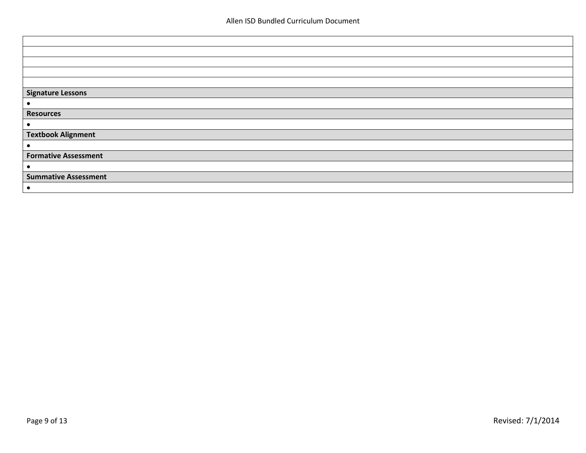| <b>Signature Lessons</b>    |
|-----------------------------|
|                             |
| <b>Resources</b>            |
| $\bullet$                   |
| <b>Textbook Alignment</b>   |
| $\bullet$                   |
| <b>Formative Assessment</b> |
| $\bullet$                   |
| <b>Summative Assessment</b> |
| $\bullet$                   |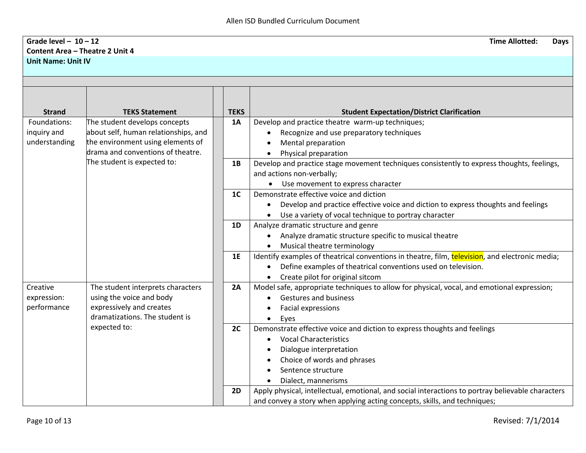## **Grade level – 10 – 12 Time Allotted: Days Content Area – Theatre 2 Unit 4 Unit Name: Unit IV**

| <b>Strand</b>                | <b>TEKS Statement</b>                                                 | <b>TEKS</b>    | <b>Student Expectation/District Clarification</b>                                                                                                            |
|------------------------------|-----------------------------------------------------------------------|----------------|--------------------------------------------------------------------------------------------------------------------------------------------------------------|
| Foundations:                 | The student develops concepts<br>about self, human relationships, and | 1A             | Develop and practice theatre warm-up techniques;                                                                                                             |
| inquiry and<br>understanding | the environment using elements of                                     |                | Recognize and use preparatory techniques<br>$\bullet$<br>Mental preparation                                                                                  |
|                              | drama and conventions of theatre.                                     |                | Physical preparation                                                                                                                                         |
|                              | The student is expected to:                                           | 1B             | Develop and practice stage movement techniques consistently to express thoughts, feelings,<br>and actions non-verbally;<br>Use movement to express character |
|                              |                                                                       | 1 <sup>C</sup> | Demonstrate effective voice and diction                                                                                                                      |
|                              |                                                                       |                | Develop and practice effective voice and diction to express thoughts and feelings                                                                            |
|                              |                                                                       |                | Use a variety of vocal technique to portray character                                                                                                        |
|                              |                                                                       | 1D             | Analyze dramatic structure and genre                                                                                                                         |
|                              |                                                                       |                | Analyze dramatic structure specific to musical theatre                                                                                                       |
|                              |                                                                       |                | Musical theatre terminology                                                                                                                                  |
|                              |                                                                       | 1E             | Identify examples of theatrical conventions in theatre, film, television, and electronic media;                                                              |
|                              |                                                                       |                | Define examples of theatrical conventions used on television.                                                                                                |
|                              |                                                                       |                | Create pilot for original sitcom                                                                                                                             |
| Creative                     | The student interprets characters                                     | 2A             | Model safe, appropriate techniques to allow for physical, vocal, and emotional expression;                                                                   |
| expression:<br>performance   | using the voice and body<br>expressively and creates                  |                | Gestures and business                                                                                                                                        |
|                              | dramatizations. The student is                                        |                | Facial expressions                                                                                                                                           |
|                              | expected to:                                                          | 2C             | Eyes<br>$\bullet$<br>Demonstrate effective voice and diction to express thoughts and feelings                                                                |
|                              |                                                                       |                | <b>Vocal Characteristics</b>                                                                                                                                 |
|                              |                                                                       |                | Dialogue interpretation<br>٠                                                                                                                                 |
|                              |                                                                       |                | Choice of words and phrases                                                                                                                                  |
|                              |                                                                       |                | Sentence structure                                                                                                                                           |
|                              |                                                                       |                | Dialect, mannerisms                                                                                                                                          |
|                              |                                                                       | <b>2D</b>      | Apply physical, intellectual, emotional, and social interactions to portray believable characters                                                            |
|                              |                                                                       |                | and convey a story when applying acting concepts, skills, and techniques;                                                                                    |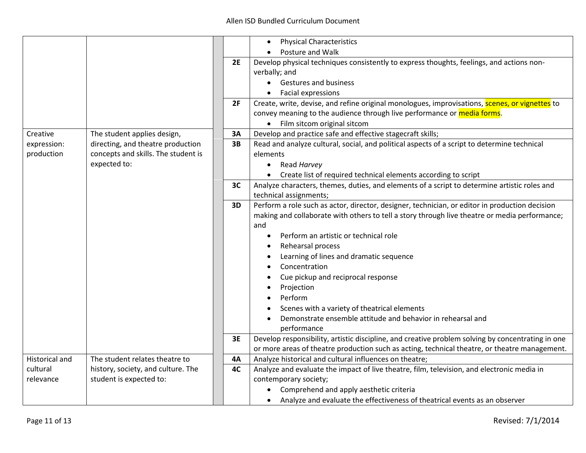|                       |                                     |           | <b>Physical Characteristics</b><br>$\bullet$                                                      |  |
|-----------------------|-------------------------------------|-----------|---------------------------------------------------------------------------------------------------|--|
|                       |                                     |           | Posture and Walk                                                                                  |  |
|                       |                                     | 2E        | Develop physical techniques consistently to express thoughts, feelings, and actions non-          |  |
|                       |                                     |           | verbally; and                                                                                     |  |
|                       |                                     |           | • Gestures and business                                                                           |  |
|                       |                                     |           | <b>Facial expressions</b>                                                                         |  |
|                       |                                     | 2F        | Create, write, devise, and refine original monologues, improvisations, scenes, or vignettes to    |  |
|                       |                                     |           | convey meaning to the audience through live performance or media forms.                           |  |
|                       |                                     |           | Film sitcom original sitcom                                                                       |  |
| Creative              | The student applies design,         | 3A        | Develop and practice safe and effective stagecraft skills;                                        |  |
| expression:           | directing, and theatre production   | 3B        | Read and analyze cultural, social, and political aspects of a script to determine technical       |  |
| production            | concepts and skills. The student is |           | elements                                                                                          |  |
|                       | expected to:                        |           | Read Harvey<br>$\bullet$                                                                          |  |
|                       |                                     |           | Create list of required technical elements according to script                                    |  |
|                       |                                     | 3C        | Analyze characters, themes, duties, and elements of a script to determine artistic roles and      |  |
|                       |                                     |           | technical assignments;                                                                            |  |
|                       |                                     | 3D        | Perform a role such as actor, director, designer, technician, or editor in production decision    |  |
|                       |                                     |           | making and collaborate with others to tell a story through live theatre or media performance;     |  |
|                       |                                     |           | and                                                                                               |  |
|                       |                                     |           | Perform an artistic or technical role<br>$\bullet$                                                |  |
|                       |                                     |           | Rehearsal process                                                                                 |  |
|                       |                                     |           | Learning of lines and dramatic sequence                                                           |  |
|                       |                                     |           | Concentration                                                                                     |  |
|                       |                                     |           | Cue pickup and reciprocal response                                                                |  |
|                       |                                     |           | Projection                                                                                        |  |
|                       |                                     |           | Perform                                                                                           |  |
|                       |                                     |           | Scenes with a variety of theatrical elements                                                      |  |
|                       |                                     |           | Demonstrate ensemble attitude and behavior in rehearsal and                                       |  |
|                       |                                     |           | performance                                                                                       |  |
|                       |                                     | 3E        | Develop responsibility, artistic discipline, and creative problem solving by concentrating in one |  |
|                       |                                     |           | or more areas of theatre production such as acting, technical theatre, or theatre management.     |  |
| <b>Historical and</b> | The student relates theatre to      | <b>4A</b> | Analyze historical and cultural influences on theatre;                                            |  |
| cultural              | history, society, and culture. The  | 4C        | Analyze and evaluate the impact of live theatre, film, television, and electronic media in        |  |
| relevance             | student is expected to:             |           | contemporary society;                                                                             |  |
|                       |                                     |           | Comprehend and apply aesthetic criteria<br>٠                                                      |  |
|                       |                                     |           | Analyze and evaluate the effectiveness of theatrical events as an observer                        |  |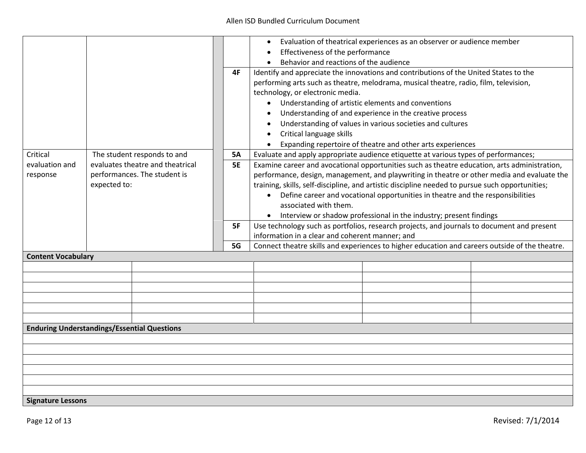|                                                    |              |                                  |           | Evaluation of theatrical experiences as an observer or audience member                          |  |  |
|----------------------------------------------------|--------------|----------------------------------|-----------|-------------------------------------------------------------------------------------------------|--|--|
|                                                    |              |                                  |           | Effectiveness of the performance                                                                |  |  |
|                                                    |              |                                  |           | Behavior and reactions of the audience                                                          |  |  |
|                                                    |              |                                  | 4F        | Identify and appreciate the innovations and contributions of the United States to the           |  |  |
|                                                    |              |                                  |           | performing arts such as theatre, melodrama, musical theatre, radio, film, television,           |  |  |
|                                                    |              |                                  |           | technology, or electronic media.                                                                |  |  |
|                                                    |              |                                  |           |                                                                                                 |  |  |
|                                                    |              |                                  |           | Understanding of artistic elements and conventions                                              |  |  |
|                                                    |              |                                  |           | Understanding of and experience in the creative process                                         |  |  |
|                                                    |              |                                  |           | Understanding of values in various societies and cultures                                       |  |  |
|                                                    |              |                                  |           | Critical language skills                                                                        |  |  |
|                                                    |              |                                  |           | Expanding repertoire of theatre and other arts experiences                                      |  |  |
| Critical                                           |              | The student responds to and      | <b>5A</b> | Evaluate and apply appropriate audience etiquette at various types of performances;             |  |  |
| evaluation and                                     |              | evaluates theatre and theatrical | <b>5E</b> | Examine career and avocational opportunities such as theatre education, arts administration,    |  |  |
| response                                           |              | performances. The student is     |           | performance, design, management, and playwriting in theatre or other media and evaluate the     |  |  |
|                                                    | expected to: |                                  |           | training, skills, self-discipline, and artistic discipline needed to pursue such opportunities; |  |  |
|                                                    |              |                                  |           | • Define career and vocational opportunities in theatre and the responsibilities                |  |  |
|                                                    |              |                                  |           | associated with them.                                                                           |  |  |
|                                                    |              |                                  |           | Interview or shadow professional in the industry; present findings                              |  |  |
|                                                    |              |                                  | 5F        | Use technology such as portfolios, research projects, and journals to document and present      |  |  |
|                                                    |              |                                  |           | information in a clear and coherent manner; and                                                 |  |  |
|                                                    |              |                                  | 5G        | Connect theatre skills and experiences to higher education and careers outside of the theatre.  |  |  |
| <b>Content Vocabulary</b>                          |              |                                  |           |                                                                                                 |  |  |
|                                                    |              |                                  |           |                                                                                                 |  |  |
|                                                    |              |                                  |           |                                                                                                 |  |  |
|                                                    |              |                                  |           |                                                                                                 |  |  |
|                                                    |              |                                  |           |                                                                                                 |  |  |
|                                                    |              |                                  |           |                                                                                                 |  |  |
|                                                    |              |                                  |           |                                                                                                 |  |  |
| <b>Enduring Understandings/Essential Questions</b> |              |                                  |           |                                                                                                 |  |  |
|                                                    |              |                                  |           |                                                                                                 |  |  |
|                                                    |              |                                  |           |                                                                                                 |  |  |
|                                                    |              |                                  |           |                                                                                                 |  |  |
|                                                    |              |                                  |           |                                                                                                 |  |  |
|                                                    |              |                                  |           |                                                                                                 |  |  |
|                                                    |              |                                  |           |                                                                                                 |  |  |
| <b>Signature Lessons</b>                           |              |                                  |           |                                                                                                 |  |  |